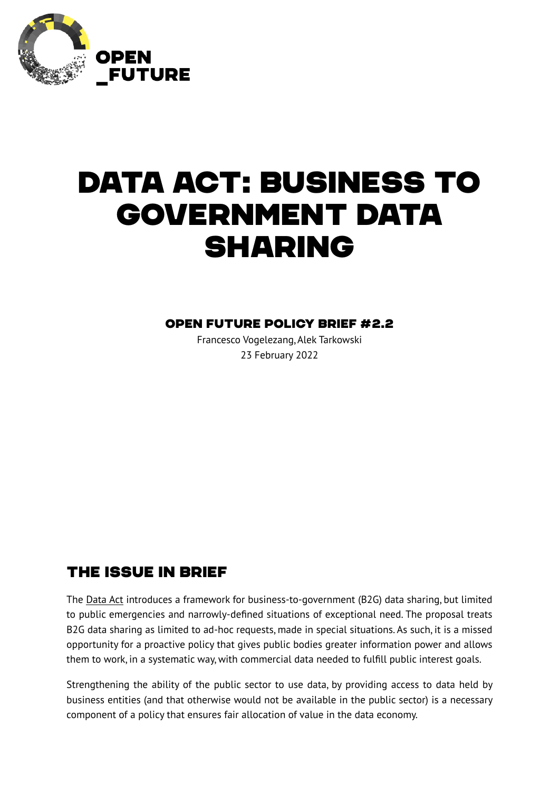

## Data Act: Business to Government Data **SHARING**

Open Future Policy brief #2.2

Francesco Vogelezang, Alek Tarkowski 23 February 2022

## The issue in brief

The [Data Act](https://ec.europa.eu/commission/presscorner/detail/en/ip_22_1113) introduces a framework for business-to-government (B2G) data sharing, but limited to public emergencies and narrowly-defined situations of exceptional need. The proposal treats B2G data sharing as limited to ad-hoc requests, made in special situations. As such, it is a missed opportunity for a proactive policy that gives public bodies greater information power and allows them to work, in a systematic way, with commercial data needed to fulfill public interest goals.

Strengthening the ability of the public sector to use data, by providing access to data held by business entities (and that otherwise would not be available in the public sector) is a necessary component of a policy that ensures fair allocation of value in the data economy.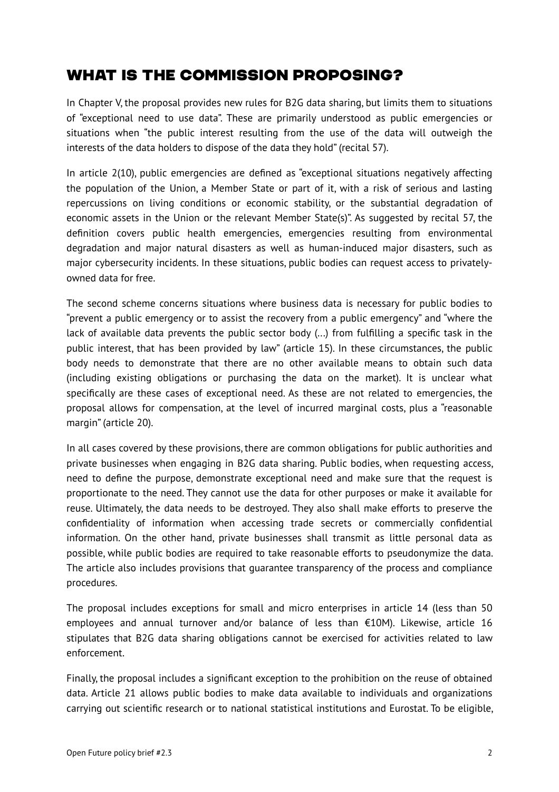## What is the Commission Proposing?

In Chapter V, the proposal provides new rules for B2G data sharing, but limits them to situations of "exceptional need to use data". These are primarily understood as public emergencies or situations when "the public interest resulting from the use of the data will outweigh the interests of the data holders to dispose of the data they hold" (recital 57).

In article 2(10), public emergencies are defined as "exceptional situations negatively affecting the population of the Union, a Member State or part of it, with a risk of serious and lasting repercussions on living conditions or economic stability, or the substantial degradation of economic assets in the Union or the relevant Member State(s)". As suggested by recital 57, the definition covers public health emergencies, emergencies resulting from environmental degradation and major natural disasters as well as human-induced major disasters, such as major cybersecurity incidents. In these situations, public bodies can request access to privatelyowned data for free.

The second scheme concerns situations where business data is necessary for public bodies to "prevent a public emergency or to assist the recovery from a public emergency" and "where the lack of available data prevents the public sector body (...) from fulfilling a specific task in the public interest, that has been provided by law" (article 15). In these circumstances, the public body needs to demonstrate that there are no other available means to obtain such data (including existing obligations or purchasing the data on the market). It is unclear what specifically are these cases of exceptional need. As these are not related to emergencies, the proposal allows for compensation, at the level of incurred marginal costs, plus a "reasonable margin" (article 20).

In all cases covered by these provisions, there are common obligations for public authorities and private businesses when engaging in B2G data sharing. Public bodies, when requesting access, need to define the purpose, demonstrate exceptional need and make sure that the request is proportionate to the need. They cannot use the data for other purposes or make it available for reuse. Ultimately, the data needs to be destroyed. They also shall make efforts to preserve the confidentiality of information when accessing trade secrets or commercially confidential information. On the other hand, private businesses shall transmit as little personal data as possible, while public bodies are required to take reasonable efforts to pseudonymize the data. The article also includes provisions that guarantee transparency of the process and compliance procedures.

The proposal includes exceptions for small and micro enterprises in article 14 (less than 50 employees and annual turnover and/or balance of less than  $E10M$ ). Likewise, article 16 stipulates that B2G data sharing obligations cannot be exercised for activities related to law enforcement.

Finally, the proposal includes a significant exception to the prohibition on the reuse of obtained data. Article 21 allows public bodies to make data available to individuals and organizations carrying out scientific research or to national statistical institutions and Eurostat. To be eligible,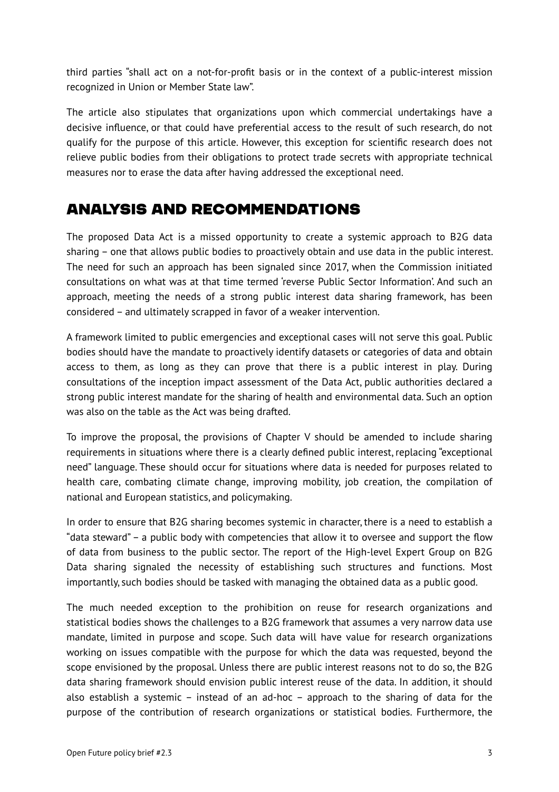third parties "shall act on a not-for-profit basis or in the context of a public-interest mission recognized in Union or Member State law".

The article also stipulates that organizations upon which commercial undertakings have a decisive influence, or that could have preferential access to the result of such research, do not qualify for the purpose of this article. However, this exception for scientific research does not relieve public bodies from their obligations to protect trade secrets with appropriate technical measures nor to erase the data after having addressed the exceptional need.

## Analysis and Recommendations

The proposed Data Act is a missed opportunity to create a systemic approach to B2G data sharing – one that allows public bodies to proactively obtain and use data in the public interest. The need for such an approach has been signaled since 2017, when the Commission initiated consultations on what was at that time termed 'reverse Public Sector Information'. And such an approach, meeting the needs of a strong public interest data sharing framework, has been considered – and ultimately scrapped in favor of a weaker intervention.

A framework limited to public emergencies and exceptional cases will not serve this goal. Public bodies should have the mandate to proactively identify datasets or categories of data and obtain access to them, as long as they can prove that there is a public interest in play. During consultations of the inception impact assessment of the Data Act, public authorities declared a strong public interest mandate for the sharing of health and environmental data. Such an option was also on the table as the Act was being drafted.

To improve the proposal, the provisions of Chapter V should be amended to include sharing requirements in situations where there is a clearly defined public interest, replacing "exceptional need" language. These should occur for situations where data is needed for purposes related to health care, combating climate change, improving mobility, job creation, the compilation of national and European statistics, and policymaking.

In order to ensure that B2G sharing becomes systemic in character, there is a need to establish a "data steward" – a public body with competencies that allow it to oversee and support the flow of data from business to the public sector. The report of the High-level Expert Group on B2G Data sharing signaled the necessity of establishing such structures and functions. Most importantly, such bodies should be tasked with managing the obtained data as a public good.

The much needed exception to the prohibition on reuse for research organizations and statistical bodies shows the challenges to a B2G framework that assumes a very narrow data use mandate, limited in purpose and scope. Such data will have value for research organizations working on issues compatible with the purpose for which the data was requested, beyond the scope envisioned by the proposal. Unless there are public interest reasons not to do so, the B2G data sharing framework should envision public interest reuse of the data. In addition, it should also establish a systemic – instead of an ad-hoc – approach to the sharing of data for the purpose of the contribution of research organizations or statistical bodies. Furthermore, the